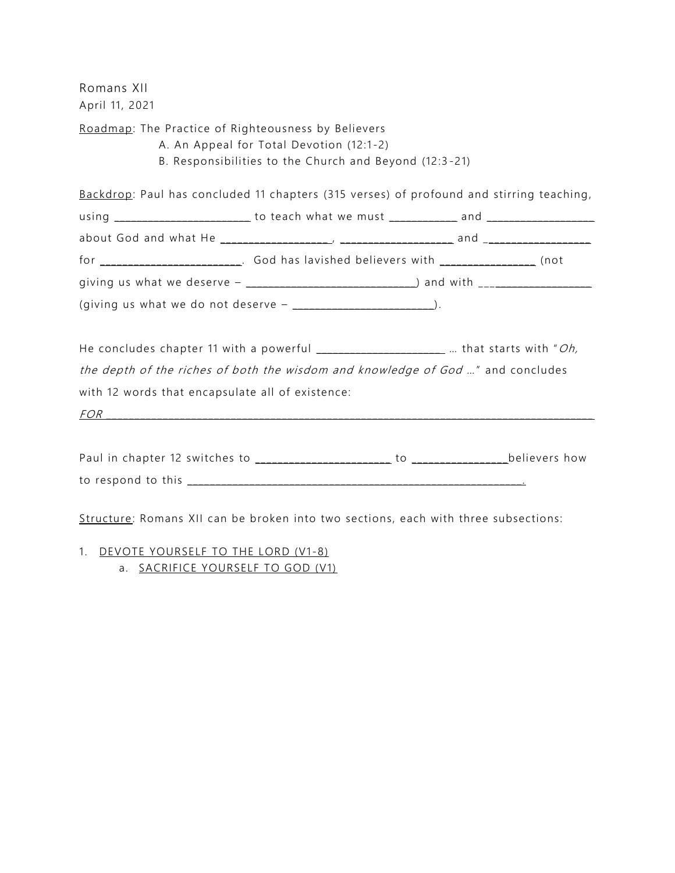Romans XII April 11, 2021

Roadmap: The Practice of Righteousness by Believers

- A. An Appeal for Total Devotion (12:1-2)
- B. Responsibilities to the Church and Beyond (12:3 -21)

Backdrop: Paul has concluded 11 chapters (315 verses) of profound and stirring teaching,

|                                                  | the depth of the riches of both the wisdom and knowledge of God " and concludes                                                                                                                                                |  |
|--------------------------------------------------|--------------------------------------------------------------------------------------------------------------------------------------------------------------------------------------------------------------------------------|--|
| with 12 words that encapsulate all of existence: |                                                                                                                                                                                                                                |  |
|                                                  | FOR THE CONSTRUCTION OF THE CONSTRUCTION OF THE CONSTRUCTION OF THE CONSTRUCTION OF THE CONSTRUCTION OF THE CONSTRUCTION OF THE CONSTRUCTION OF THE CONSTRUCTION OF THE CONSTRUCTION OF THE CONSTRUCTION OF THE CONSTRUCTION O |  |
|                                                  |                                                                                                                                                                                                                                |  |
|                                                  |                                                                                                                                                                                                                                |  |
|                                                  |                                                                                                                                                                                                                                |  |

Structure: Romans XII can be broken into two sections, each with three subsections:

- 1. DEVOTE YOURSELF TO THE LORD (V1-8)
	- a. SACRIFICE YOURSELF TO GOD (V1)